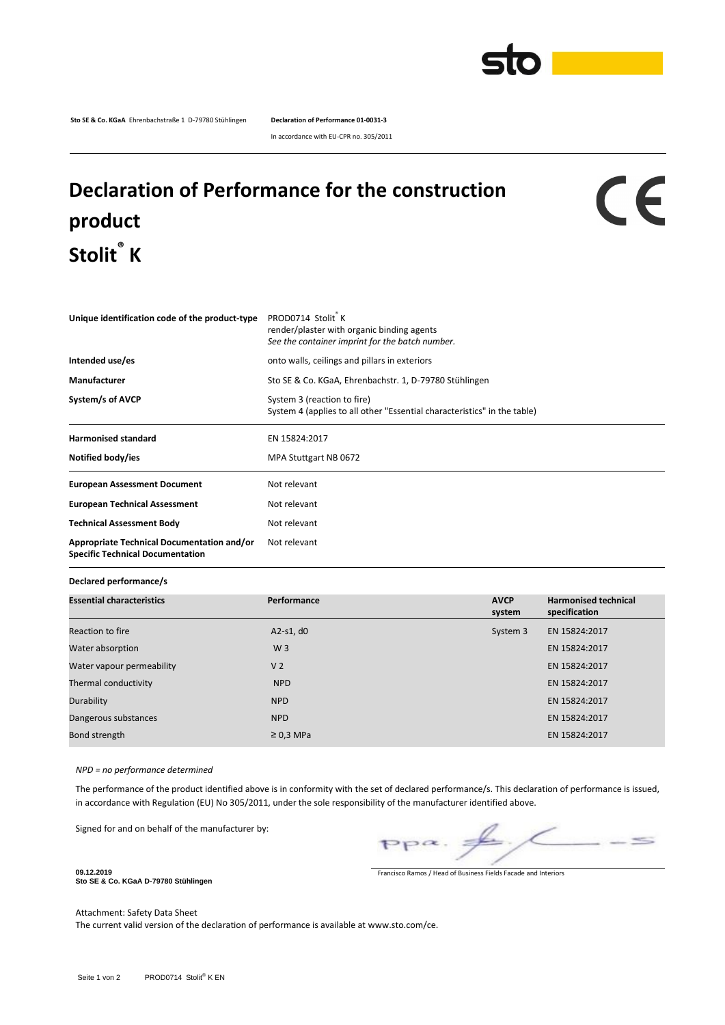

**Sto SE & Co. KGaA** Ehrenbachstraße 1 D-79780 Stühlingen **Declaration of Performance 01-0031-3**

In accordance with EU-CPR no. 305/2011

## **Declaration of Performance for the construction product Stolit® K**

## CE

| Unique identification code of the product-type                                        | PROD0714 Stolit K<br>render/plaster with organic binding agents<br>See the container imprint for the batch number. |  |  |  |
|---------------------------------------------------------------------------------------|--------------------------------------------------------------------------------------------------------------------|--|--|--|
| Intended use/es                                                                       | onto walls, ceilings and pillars in exteriors                                                                      |  |  |  |
| Manufacturer                                                                          | Sto SE & Co. KGaA, Ehrenbachstr. 1, D-79780 Stühlingen                                                             |  |  |  |
| System/s of AVCP                                                                      | System 3 (reaction to fire)<br>System 4 (applies to all other "Essential characteristics" in the table)            |  |  |  |
| <b>Harmonised standard</b>                                                            | EN 15824:2017                                                                                                      |  |  |  |
| Notified body/ies                                                                     | MPA Stuttgart NB 0672                                                                                              |  |  |  |
| <b>European Assessment Document</b>                                                   | Not relevant                                                                                                       |  |  |  |
| <b>European Technical Assessment</b>                                                  | Not relevant                                                                                                       |  |  |  |
| <b>Technical Assessment Body</b>                                                      | Not relevant                                                                                                       |  |  |  |
| Appropriate Technical Documentation and/or<br><b>Specific Technical Documentation</b> | Not relevant                                                                                                       |  |  |  |

## **Declared performance/s**

| <b>Essential characteristics</b> | Performance    | <b>AVCP</b><br>system | <b>Harmonised technical</b><br>specification |
|----------------------------------|----------------|-----------------------|----------------------------------------------|
| Reaction to fire                 | $A2-S1, d0$    | System 3              | EN 15824:2017                                |
| Water absorption                 | W <sub>3</sub> |                       | EN 15824:2017                                |
| Water vapour permeability        | V <sub>2</sub> |                       | EN 15824:2017                                |
| Thermal conductivity             | <b>NPD</b>     |                       | EN 15824:2017                                |
| Durability                       | <b>NPD</b>     |                       | EN 15824:2017                                |
| Dangerous substances             | <b>NPD</b>     |                       | EN 15824:2017                                |
| Bond strength                    | $\geq$ 0,3 MPa |                       | EN 15824:2017                                |

*NPD = no performance determined*

The performance of the product identified above is in conformity with the set of declared performance/s. This declaration of performance is issued, in accordance with Regulation (EU) No 305/2011, under the sole responsibility of the manufacturer identified above.

Signed for and on behalf of the manufacturer by:

 $\leq$ 

Francisco Ramos / Head of Business Fields Facade and Interiors

**Sto SE & Co. KGaA D-79780 Stühlingen**

**09.12.2019**

Attachment: Safety Data Sheet

The current valid version of the declaration of performance is available at www.sto.com/ce.